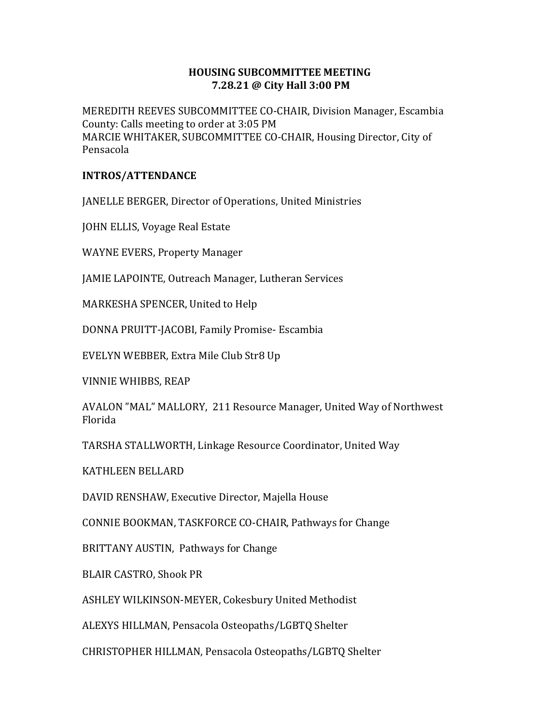## HOUSING SUBCOMMITTEE MEETING 7.28.21 @ City Hall 3:00 PM

MEREDITH REEVES SUBCOMMITTEE CO-CHAIR, Division Manager, Escambia County: Calls meeting to order at 3:05 PM MARCIE WHITAKER, SUBCOMMITTEE CO-CHAIR, Housing Director, City of Pensacola

## INTROS/ATTENDANCE

JANELLE BERGER, Director of Operations, United Ministries

JOHN ELLIS, Voyage Real Estate

WAYNE EVERS, Property Manager

JAMIE LAPOINTE, Outreach Manager, Lutheran Services

MARKESHA SPENCER, United to Help

DONNA PRUITT-JACOBI, Family Promise- Escambia

EVELYN WEBBER, Extra Mile Club Str8 Up

VINNIE WHIBBS, REAP

AVALON "MAL" MALLORY, 211 Resource Manager, United Way of Northwest Florida

TARSHA STALLWORTH, Linkage Resource Coordinator, United Way

KATHLEEN BELLARD

DAVID RENSHAW, Executive Director, Majella House

CONNIE BOOKMAN, TASKFORCE CO-CHAIR, Pathways for Change

BRITTANY AUSTIN, Pathways for Change

BLAIR CASTRO, Shook PR

ASHLEY WILKINSON-MEYER, Cokesbury United Methodist

ALEXYS HILLMAN, Pensacola Osteopaths/LGBTQ Shelter

CHRISTOPHER HILLMAN, Pensacola Osteopaths/LGBTQ Shelter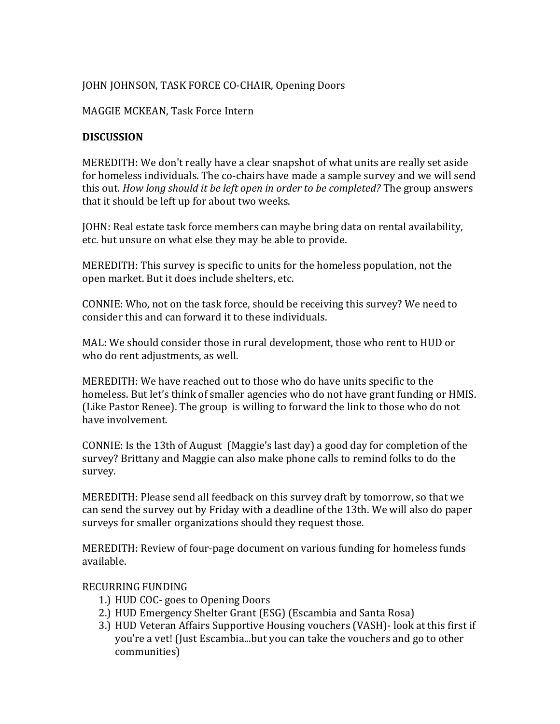# JOHN JOHNSON, TASK FORCE CO-CHAIR, Opening Doors

#### MAGGIE MCKEAN, Task Force Intern

### **DISCUSSION**

MEREDITH: We don't really have a clear snapshot of what units are really set aside for homeless individuals. The co-chairs have made a sample survey and we will send this out. How long should it be left open in order to be completed? The group answers that it should be left up for about two weeks.

JOHN: Real estate task force members can maybe bring data on rental availability, etc. but unsure on what else they may be able to provide.

MEREDITH: This survey is specific to units for the homeless population, not the open market. But it does include shelters, etc.

CONNIE: Who, not on the task force, should be receiving this survey? We need to consider this and can forward it to these individuals.

MAL: We should consider those in rural development, those who rent to HUD or who do rent adjustments, as well.

MEREDITH: We have reached out to those who do have units specific to the homeless. But let's think of smaller agencies who do not have grant funding or HMIS. (Like Pastor Renee). The group is willing to forward the link to those who do not have involvement.

CONNIE: Is the 13th of August (Maggie's last day) a good day for completion of the survey? Brittany and Maggie can also make phone calls to remind folks to do the survey.

MEREDITH: Please send all feedback on this survey draft by tomorrow, so that we can send the survey out by Friday with a deadline of the 13th. We will also do paper surveys for smaller organizations should they request those.

MEREDITH: Review of four-page document on various funding for homeless funds available.

## RECURRING FUNDING

- 1.) HUD COC- goes to Opening Doors
- 2.) HUD Emergency Shelter Grant (ESG) (Escambia and Santa Rosa)
- 3.) HUD Veteran Affairs Supportive Housing vouchers (VASH)- look at this first if you're a vet! (Just Escambia...but you can take the vouchers and go to other communities)